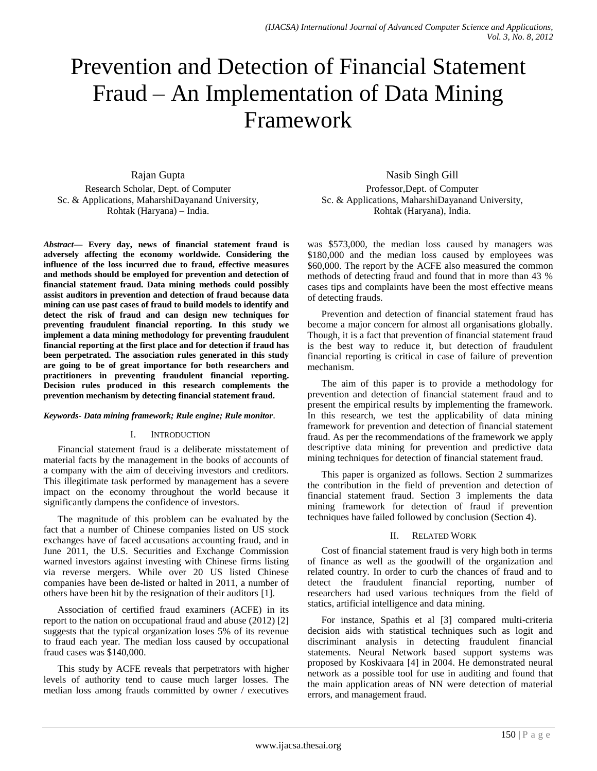# Prevention and Detection of Financial Statement Fraud – An Implementation of Data Mining Framework

## Rajan Gupta

Research Scholar, Dept. of Computer Sc. & Applications, MaharshiDayanand University, Rohtak (Haryana) – India.

*Abstract***— Every day, news of financial statement fraud is adversely affecting the economy worldwide. Considering the influence of the loss incurred due to fraud, effective measures and methods should be employed for prevention and detection of financial statement fraud. Data mining methods could possibly assist auditors in prevention and detection of fraud because data mining can use past cases of fraud to build models to identify and detect the risk of fraud and can design new techniques for preventing fraudulent financial reporting. In this study we implement a data mining methodology for preventing fraudulent financial reporting at the first place and for detection if fraud has been perpetrated. The association rules generated in this study are going to be of great importance for both researchers and practitioners in preventing fraudulent financial reporting. Decision rules produced in this research complements the prevention mechanism by detecting financial statement fraud.**

#### *Keywords- Data mining framework; Rule engine; Rule monitor*.

#### I. INTRODUCTION

Financial statement fraud is a deliberate misstatement of material facts by the management in the books of accounts of a company with the aim of deceiving investors and creditors. This illegitimate task performed by management has a severe impact on the economy throughout the world because it significantly dampens the confidence of investors.

The magnitude of this problem can be evaluated by the fact that a number of Chinese companies listed on US stock exchanges have of faced accusations accounting fraud, and in June 2011, the U.S. Securities and Exchange Commission warned investors against investing with Chinese firms listing via reverse mergers. While over 20 US listed Chinese companies have been de-listed or halted in 2011, a number of others have been hit by the resignation of their auditors [1].

Association of certified fraud examiners (ACFE) in its report to the nation on occupational fraud and abuse (2012) [2] suggests that the typical organization loses 5% of its revenue to fraud each year. The median loss caused by occupational fraud cases was \$140,000.

This study by ACFE reveals that perpetrators with higher levels of authority tend to cause much larger losses. The median loss among frauds committed by owner / executives

Nasib Singh Gill Professor,Dept. of Computer Sc. & Applications, MaharshiDayanand University, Rohtak (Haryana), India.

was \$573,000, the median loss caused by managers was \$180,000 and the median loss caused by employees was \$60,000. The report by the ACFE also measured the common methods of detecting fraud and found that in more than 43 % cases tips and complaints have been the most effective means of detecting frauds.

Prevention and detection of financial statement fraud has become a major concern for almost all organisations globally. Though, it is a fact that prevention of financial statement fraud is the best way to reduce it, but detection of fraudulent financial reporting is critical in case of failure of prevention mechanism.

The aim of this paper is to provide a methodology for prevention and detection of financial statement fraud and to present the empirical results by implementing the framework. In this research, we test the applicability of data mining framework for prevention and detection of financial statement fraud. As per the recommendations of the framework we apply descriptive data mining for prevention and predictive data mining techniques for detection of financial statement fraud.

This paper is organized as follows. Section 2 summarizes the contribution in the field of prevention and detection of financial statement fraud. Section 3 implements the data mining framework for detection of fraud if prevention techniques have failed followed by conclusion (Section 4).

#### II. RELATED WORK

Cost of financial statement fraud is very high both in terms of finance as well as the goodwill of the organization and related country. In order to curb the chances of fraud and to detect the fraudulent financial reporting, number of researchers had used various techniques from the field of statics, artificial intelligence and data mining.

For instance, Spathis et al [3] compared multi-criteria decision aids with statistical techniques such as logit and discriminant analysis in detecting fraudulent financial statements. Neural Network based support systems was proposed by Koskivaara [4] in 2004. He demonstrated neural network as a possible tool for use in auditing and found that the main application areas of NN were detection of material errors, and management fraud.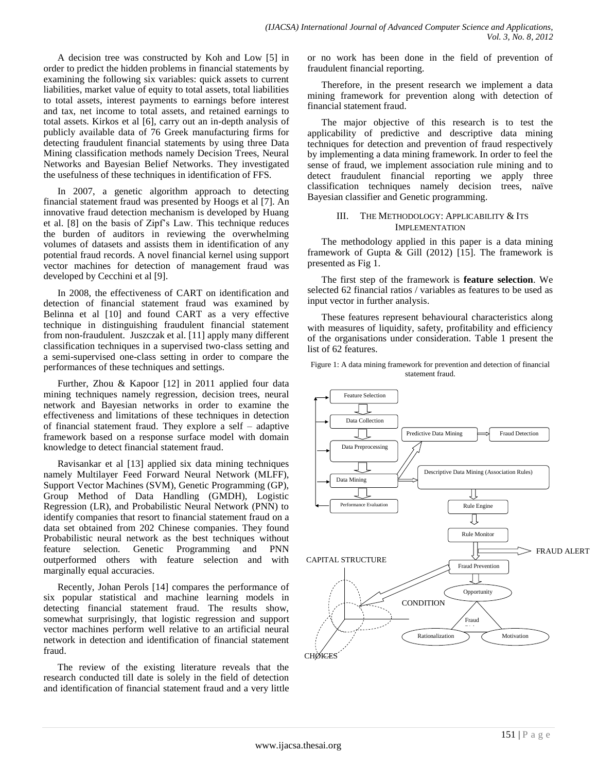A decision tree was constructed by Koh and Low [5] in order to predict the hidden problems in financial statements by examining the following six variables: quick assets to current liabilities, market value of equity to total assets, total liabilities to total assets, interest payments to earnings before interest and tax, net income to total assets, and retained earnings to total assets. Kirkos et al [6], carry out an in-depth analysis of publicly available data of 76 Greek manufacturing firms for detecting fraudulent financial statements by using three Data Mining classification methods namely Decision Trees, Neural Networks and Bayesian Belief Networks. They investigated the usefulness of these techniques in identification of FFS.

In 2007, a genetic algorithm approach to detecting financial statement fraud was presented by Hoogs et al [7]. An innovative fraud detection mechanism is developed by Huang et al. [8] on the basis of Zipf's Law. This technique reduces the burden of auditors in reviewing the overwhelming volumes of datasets and assists them in identification of any potential fraud records. A novel financial kernel using support vector machines for detection of management fraud was developed by Cecchini et al [9].

In 2008, the effectiveness of CART on identification and detection of financial statement fraud was examined by Belinna et al [10] and found CART as a very effective technique in distinguishing fraudulent financial statement from non-fraudulent. Juszczak et al. [11] apply many different classification techniques in a supervised two-class setting and a semi-supervised one-class setting in order to compare the performances of these techniques and settings.

Further, Zhou & Kapoor [12] in 2011 applied four data mining techniques namely regression, decision trees, neural network and Bayesian networks in order to examine the effectiveness and limitations of these techniques in detection of financial statement fraud. They explore a self – adaptive framework based on a response surface model with domain knowledge to detect financial statement fraud.

Ravisankar et al [13] applied six data mining techniques namely Multilayer Feed Forward Neural Network (MLFF), Support Vector Machines (SVM), Genetic Programming (GP), Group Method of Data Handling (GMDH), Logistic Regression (LR), and Probabilistic Neural Network (PNN) to identify companies that resort to financial statement fraud on a data set obtained from 202 Chinese companies. They found Probabilistic neural network as the best techniques without feature selection. Genetic Programming and PNN outperformed others with feature selection and with marginally equal accuracies.

Recently, Johan Perols [14] compares the performance of six popular statistical and machine learning models in detecting financial statement fraud. The results show, somewhat surprisingly, that logistic regression and support vector machines perform well relative to an artificial neural network in detection and identification of financial statement fraud.

The review of the existing literature reveals that the research conducted till date is solely in the field of detection and identification of financial statement fraud and a very little or no work has been done in the field of prevention of fraudulent financial reporting.

Therefore, in the present research we implement a data mining framework for prevention along with detection of financial statement fraud.

The major objective of this research is to test the applicability of predictive and descriptive data mining techniques for detection and prevention of fraud respectively by implementing a data mining framework. In order to feel the sense of fraud, we implement association rule mining and to detect fraudulent financial reporting we apply three classification techniques namely decision trees, naïve Bayesian classifier and Genetic programming.

### III. THE METHODOLOGY: APPLICABILITY & ITS IMPLEMENTATION

The methodology applied in this paper is a data mining framework of Gupta & Gill (2012) [15]. The framework is presented as Fig 1.

The first step of the framework is **feature selection**. We selected 62 financial ratios / variables as features to be used as input vector in further analysis.

These features represent behavioural characteristics along with measures of liquidity, safety, profitability and efficiency of the organisations under consideration. Table 1 present the list of 62 features.

Figure 1: A data mining framework for prevention and detection of financial statement fraud.

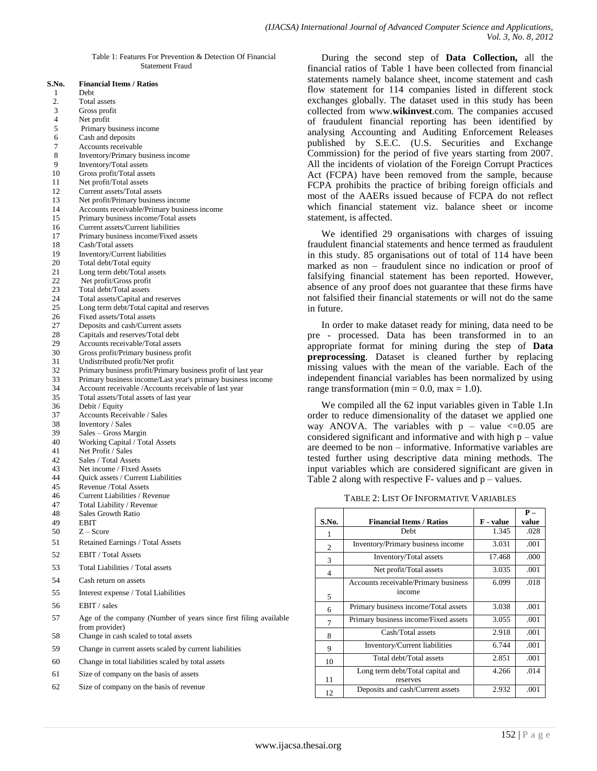Table 1: Features For Prevention & Detection Of Financial Statement Fraud

| S.No.    | <b>Financial Items / Ratios</b><br>Debt                                                                             |
|----------|---------------------------------------------------------------------------------------------------------------------|
| 1        |                                                                                                                     |
| 2.<br>3  | Total assets                                                                                                        |
| 4        | Gross profit<br>Net profit                                                                                          |
| 5        | Primary business income                                                                                             |
| 6        | Cash and deposits                                                                                                   |
| 7        | Accounts receivable                                                                                                 |
| 8        | Inventory/Primary business income                                                                                   |
| 9        | Inventory/Total assets                                                                                              |
| 10       | Gross profit/Total assets                                                                                           |
| 11       | Net profit/Total assets                                                                                             |
| 12       | Current assets/Total assets                                                                                         |
| 13       | Net profit/Primary business income                                                                                  |
| 14       | Accounts receivable/Primary business income                                                                         |
| 15       | Primary business income/Total assets                                                                                |
| 16       | Current assets/Current liabilities                                                                                  |
| 17       | Primary business income/Fixed assets                                                                                |
| 18<br>19 | Cash/Total assets                                                                                                   |
| 20       | Inventory/Current liabilities<br>Total debt/Total equity                                                            |
| 21       | Long term debt/Total assets                                                                                         |
| 22       | Net profit/Gross profit                                                                                             |
| 23       | Total debt/Total assets                                                                                             |
| 24       | Total assets/Capital and reserves                                                                                   |
| 25       | Long term debt/Total capital and reserves                                                                           |
| 26       | Fixed assets/Total assets                                                                                           |
| 27       | Deposits and cash/Current assets                                                                                    |
| 28       | Capitals and reserves/Total debt                                                                                    |
| 29       | Accounts receivable/Total assets                                                                                    |
| 30       | Gross profit/Primary business profit                                                                                |
| 31       | Undistributed profit/Net profit                                                                                     |
| 32       | Primary business profit/Primary business profit of last year                                                        |
| 33<br>34 | Primary business income/Last year's primary business income<br>Account receivable /Accounts receivable of last year |
| 35       | Total assets/Total assets of last year                                                                              |
| 36       | Debit / Equity                                                                                                      |
| 37       | <b>Accounts Receivable / Sales</b>                                                                                  |
| 38       | Inventory / Sales                                                                                                   |
| 39       | Sales – Gross Margin                                                                                                |
| 40       | Working Capital / Total Assets                                                                                      |
| 41       | Net Profit / Sales                                                                                                  |
| 42       | Sales / Total Assets                                                                                                |
| 43       | Net income / Fixed Assets                                                                                           |
| 44       | Quick assets / Current Liabilities                                                                                  |
| 45<br>46 | Revenue /Total Assets<br>Current Liabilities / Revenue                                                              |
| 47       | Total Liability / Revenue                                                                                           |
| 48       | Sales Growth Ratio                                                                                                  |
| 49       | EBIT                                                                                                                |
| 50       | $Z - Score$                                                                                                         |
| 51       | Retained Earnings / Total Assets                                                                                    |
| 52       | <b>EBIT</b> / Total Assets                                                                                          |
| 53       | Total Liabilities / Total assets                                                                                    |
| 54       | Cash return on assets                                                                                               |
| 55       | Interest expense / Total Liabilities                                                                                |
| 56       | EBIT / sales                                                                                                        |
| 57       | Age of the company (Number of years since first filing available                                                    |
|          | from provider)                                                                                                      |
| 58       | Change in cash scaled to total assets                                                                               |
| 59       | Change in current assets scaled by current liabilities                                                              |
| 60       | Change in total liabilities scaled by total assets                                                                  |

- 61 Size of company on the basis of assets
- 62 Size of company on the basis of revenue

During the second step of **Data Collection,** all the financial ratios of Table 1 have been collected from financial statements namely balance sheet, income statement and cash flow statement for 114 companies listed in different stock exchanges globally. The dataset used in this study has been collected from www.**wikinvest**.com. The companies accused of fraudulent financial reporting has been identified by analysing Accounting and Auditing Enforcement Releases published by S.E.C. (U.S. Securities and Exchange Commission) for the period of five years starting from 2007. All the incidents of violation of the Foreign Corrupt Practices Act (FCPA) have been removed from the sample, because FCPA prohibits the practice of bribing foreign officials and most of the AAERs issued because of FCPA do not reflect which financial statement viz. balance sheet or income statement, is affected.

We identified 29 organisations with charges of issuing fraudulent financial statements and hence termed as fraudulent in this study. 85 organisations out of total of 114 have been marked as non – fraudulent since no indication or proof of falsifying financial statement has been reported. However, absence of any proof does not guarantee that these firms have not falsified their financial statements or will not do the same in future.

In order to make dataset ready for mining, data need to be pre - processed. Data has been transformed in to an appropriate format for mining during the step of **Data preprocessing.** Dataset is cleaned further by replacing missing values with the mean of the variable. Each of the independent financial variables has been normalized by using range transformation (min =  $0.0$ , max =  $1.0$ ).

We compiled all the 62 input variables given in Table 1.In order to reduce dimensionality of the dataset we applied one way ANOVA. The variables with  $p - value < 0.05$  are considered significant and informative and with high  $p$  – value are deemed to be non – informative. Informative variables are tested further using descriptive data mining methods. The input variables which are considered significant are given in Table 2 along with respective  $F-$  values and  $p-$  values.

TABLE 2: LIST OF INFORMATIVE VARIABLES

|                |                                      |           | $P -$ |
|----------------|--------------------------------------|-----------|-------|
| S.No.          | <b>Financial Items / Ratios</b>      | F - value | value |
| 1              | <b>Debt</b>                          | 1.345     | .028  |
| $\mathfrak{2}$ | Inventory/Primary business income    | 3.031     | .001  |
| 3              | Inventory/Total assets               | 17.468    | .000  |
| 4              | Net profit/Total assets              | 3.035     | .001  |
|                | Accounts receivable/Primary business | 6.099     | .018  |
| 5              | income                               |           |       |
| 6              | Primary business income/Total assets | 3.038     | .001  |
| 7              | Primary business income/Fixed assets | 3.055     | .001  |
| 8              | Cash/Total assets                    | 2.918     | .001  |
| 9              | Inventory/Current liabilities        | 6.744     | .001  |
| 10             | Total debt/Total assets              | 2.851     | .001  |
|                | Long term debt/Total capital and     | 4.266     | .014  |
| 11             | reserves                             |           |       |
| 12             | Deposits and cash/Current assets     | 2.932     | .001  |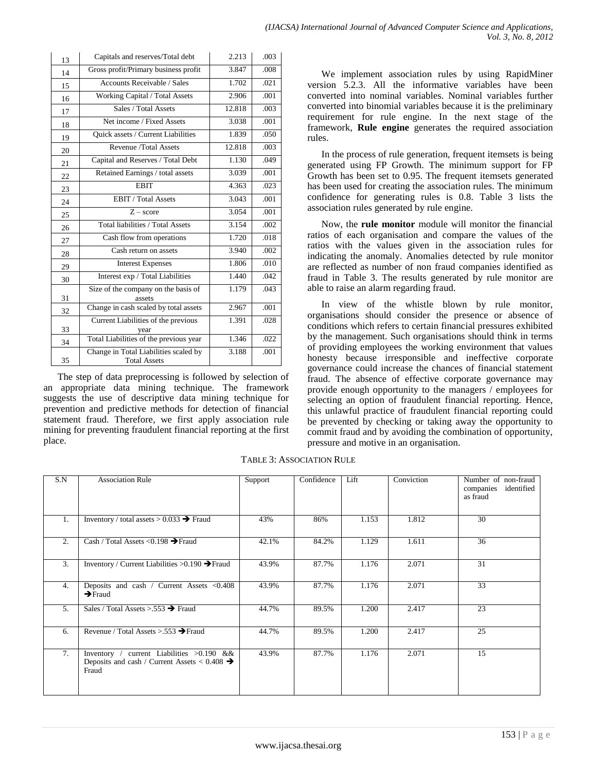| 13 | Capitals and reserves/Total debt                             | 2.213  | .003 |
|----|--------------------------------------------------------------|--------|------|
| 14 | Gross profit/Primary business profit                         | 3.847  | .008 |
| 15 | <b>Accounts Receivable / Sales</b>                           | 1.702  | .021 |
| 16 | Working Capital / Total Assets                               | 2.906  | .001 |
| 17 | Sales / Total Assets                                         | 12.818 | .003 |
| 18 | Net income / Fixed Assets                                    | 3.038  | .001 |
| 19 | Quick assets / Current Liabilities                           | 1.839  | .050 |
| 20 | Revenue /Total Assets                                        | 12.818 | .003 |
| 21 | Capital and Reserves / Total Debt                            | 1.130  | .049 |
| 22 | Retained Earnings / total assets                             | 3.039  | .001 |
| 23 | <b>EBIT</b>                                                  | 4.363  | .023 |
| 24 | EBIT / Total Assets                                          | 3.043  | .001 |
| 25 | $Z - score$                                                  | 3.054  | .001 |
| 26 | Total liabilities / Total Assets                             | 3.154  | .002 |
| 27 | Cash flow from operations                                    | 1.720  | .018 |
| 28 | Cash return on assets                                        | 3.940  | .002 |
| 29 | <b>Interest Expenses</b>                                     | 1.806  | .010 |
| 30 | Interest exp / Total Liabilities                             | 1.440  | .042 |
| 31 | Size of the company on the basis of<br>assets                | 1.179  | .043 |
| 32 | Change in cash scaled by total assets                        | 2.967  | .001 |
| 33 | Current Liabilities of the previous<br>year                  | 1.391  | .028 |
| 34 | Total Liabilities of the previous year                       | 1.346  | .022 |
| 35 | Change in Total Liabilities scaled by<br><b>Total Assets</b> | 3.188  | .001 |

The step of data preprocessing is followed by selection of an appropriate data mining technique. The framework suggests the use of descriptive data mining technique for prevention and predictive methods for detection of financial statement fraud. Therefore, we first apply association rule mining for preventing fraudulent financial reporting at the first place.

We implement association rules by using RapidMiner version 5.2.3. All the informative variables have been converted into nominal variables. Nominal variables further converted into binomial variables because it is the preliminary requirement for rule engine. In the next stage of the framework, **Rule engine** generates the required association rules.

In the process of rule generation, frequent itemsets is being generated using FP Growth. The minimum support for FP Growth has been set to 0.95. The frequent itemsets generated has been used for creating the association rules. The minimum confidence for generating rules is 0.8. Table 3 lists the association rules generated by rule engine.

Now, the **rule monitor** module will monitor the financial ratios of each organisation and compare the values of the ratios with the values given in the association rules for indicating the anomaly. Anomalies detected by rule monitor are reflected as number of non fraud companies identified as fraud in Table 3. The results generated by rule monitor are able to raise an alarm regarding fraud.

In view of the whistle blown by rule monitor, organisations should consider the presence or absence of conditions which refers to certain financial pressures exhibited by the management. Such organisations should think in terms of providing employees the working environment that values honesty because irresponsible and ineffective corporate governance could increase the chances of financial statement fraud. The absence of effective corporate governance may provide enough opportunity to the managers / employees for selecting an option of fraudulent financial reporting. Hence, this unlawful practice of fraudulent financial reporting could be prevented by checking or taking away the opportunity to commit fraud and by avoiding the combination of opportunity, pressure and motive in an organisation.

| S.N | <b>Association Rule</b>                                                                                           | Support | Confidence | Lift  | Conviction | Number of non-fraud<br>identified<br>companies<br>as fraud |
|-----|-------------------------------------------------------------------------------------------------------------------|---------|------------|-------|------------|------------------------------------------------------------|
| 1.  | Inventory / total assets $> 0.033$ $\rightarrow$ Fraud                                                            | 43%     | 86%        | 1.153 | 1.812      | 30                                                         |
| 2.  | Cash / Total Assets < 0.198 $\rightarrow$ Fraud                                                                   | 42.1%   | 84.2%      | 1.129 | 1.611      | 36                                                         |
| 3.  | Inventory / Current Liabilities $>0.190 \rightarrow$ Fraud                                                        | 43.9%   | 87.7%      | 1.176 | 2.071      | 31                                                         |
| 4.  | Deposits and cash / Current Assets <0.408<br>$\rightarrow$ Fraud                                                  | 43.9%   | 87.7%      | 1.176 | 2.071      | $\overline{33}$                                            |
| 5.  | Sales / Total Assets > 553 $\rightarrow$ Fraud                                                                    | 44.7%   | 89.5%      | 1.200 | 2.417      | 23                                                         |
| 6.  | Revenue / Total Assets > $.553 \rightarrow$ Fraud                                                                 | 44.7%   | 89.5%      | 1.200 | 2.417      | 25                                                         |
| 7.  | current Liabilities >0.190 &&<br>Inventory /<br>Deposits and cash / Current Assets < $0.408 \rightarrow$<br>Fraud | 43.9%   | 87.7%      | 1.176 | 2.071      | 15                                                         |

TABLE 3: ASSOCIATION RULE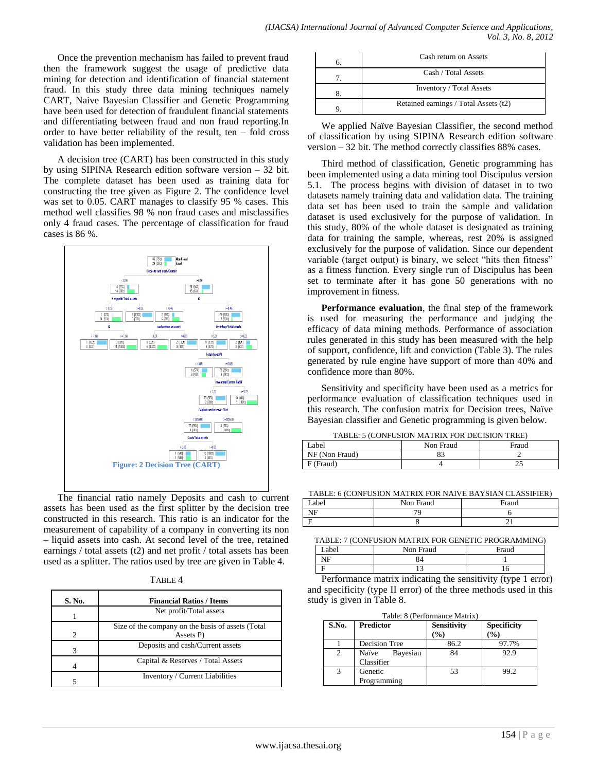Once the prevention mechanism has failed to prevent fraud then the framework suggest the usage of predictive data mining for detection and identification of financial statement fraud. In this study three data mining techniques namely CART, Naive Bayesian Classifier and Genetic Programming have been used for detection of fraudulent financial statements and differentiating between fraud and non fraud reporting.In order to have better reliability of the result, ten – fold cross validation has been implemented.

A decision tree (CART) has been constructed in this study by using SIPINA Research edition software version – 32 bit. The complete dataset has been used as training data for constructing the tree given as Figure 2. The confidence level was set to 0.05. CART manages to classify 95 % cases. This method well classifies 98 % non fraud cases and misclassifies only 4 fraud cases. The percentage of classification for fraud cases is 86 %.



The financial ratio namely Deposits and cash to current assets has been used as the first splitter by the decision tree constructed in this research. This ratio is an indicator for the measurement of capability of a company in converting its non – liquid assets into cash. At second level of the tree, retained earnings / total assets (t2) and net profit / total assets has been used as a splitter. The ratios used by tree are given in Table 4.

| к<br>ю |  |
|--------|--|
|--------|--|

| S. No.                      | <b>Financial Ratios / Items</b>                                |  |  |
|-----------------------------|----------------------------------------------------------------|--|--|
|                             | Net profit/Total assets                                        |  |  |
| $\mathcal{D}_{\mathcal{L}}$ | Size of the company on the basis of assets (Total<br>Assets P) |  |  |
|                             | Deposits and cash/Current assets                               |  |  |
|                             | Capital & Reserves / Total Assets                              |  |  |
|                             | Inventory / Current Liabilities                                |  |  |

| Cash return on Assets                 |
|---------------------------------------|
| Cash / Total Assets                   |
| <b>Inventory / Total Assets</b>       |
| Retained earnings / Total Assets (t2) |

We applied Naïve Bayesian Classifier, the second method of classification by using SIPINA Research edition software version – 32 bit. The method correctly classifies 88% cases.

Third method of classification, Genetic programming has been implemented using a data mining tool Discipulus version 5.1. The process begins with division of dataset in to two datasets namely training data and validation data. The training data set has been used to train the sample and validation dataset is used exclusively for the purpose of validation. In this study, 80% of the whole dataset is designated as training data for training the sample, whereas, rest 20% is assigned exclusively for the purpose of validation. Since our dependent variable (target output) is binary, we select "hits then fitness" as a fitness function. Every single run of Discipulus has been set to terminate after it has gone 50 generations with no improvement in fitness.

**Performance evaluation**, the final step of the framework is used for measuring the performance and judging the efficacy of data mining methods. Performance of association rules generated in this study has been measured with the help of support, confidence, lift and conviction (Table 3). The rules generated by rule engine have support of more than 40% and confidence more than 80%.

Sensitivity and specificity have been used as a metrics for performance evaluation of classification techniques used in this research. The confusion matrix for Decision trees, Naïve Bayesian classifier and Genetic programming is given below.

TABLE: 5 (CONFUSION MATRIX FOR DECISION TREE)

| Label          | Non Fraud | Fraud |
|----------------|-----------|-------|
| NF (Non Fraud) | 83        |       |
| $F$ (Fraud)    |           |       |

TABLE: 6 (CONFUSION MATRIX FOR NAIVE BAYSIAN CLASSIFIER)

| abel | Non Fraud | Fraud |
|------|-----------|-------|
| NF   |           |       |
|      |           |       |

TABLE: 7 (CONFUSION MATRIX FOR GENETIC PROGRAMMING)

| _abel                   | Non Fraud                         | Fraud |
|-------------------------|-----------------------------------|-------|
| NF                      | 84                                |       |
|                         |                                   |       |
| the control of the con- | the control of the control of the |       |

Performance matrix indicating the sensitivity (type 1 error) and specificity (type II error) of the three methods used in this study is given in Table 8.

|  |  | Table: 8 (Performance Matrix) |  |
|--|--|-------------------------------|--|
|--|--|-------------------------------|--|

| S.No. | <b>Predictor</b>                | <b>Sensitivity</b><br>$($ %) | <b>Specificity</b><br>$($ %) |
|-------|---------------------------------|------------------------------|------------------------------|
|       | Decision Tree                   | 86.2                         | 97.7%                        |
|       | Bayesian<br>Naïve<br>Classifier | 84                           | 92.9                         |
| 3     | Genetic<br>Programming          | 53                           | 99.2                         |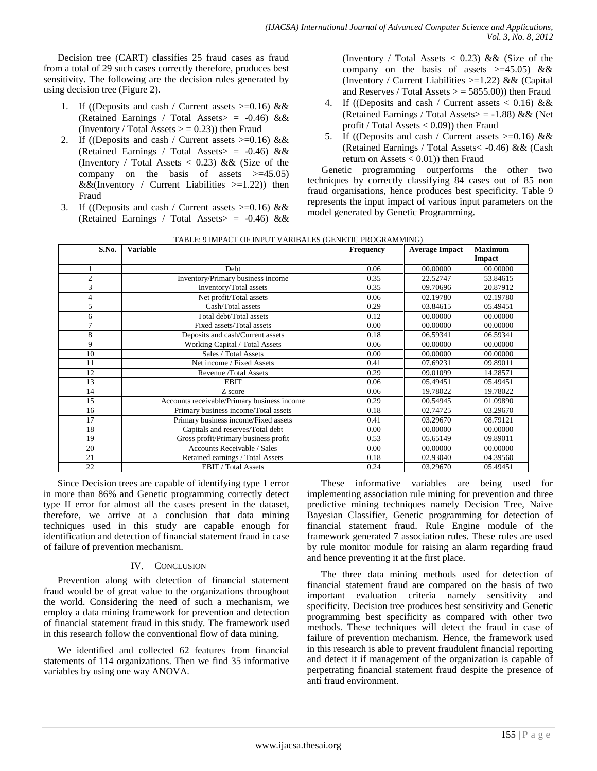Decision tree (CART) classifies 25 fraud cases as fraud from a total of 29 such cases correctly therefore, produces best sensitivity. The following are the decision rules generated by using decision tree (Figure 2).

- 1. If ((Deposits and cash / Current assets  $\geq 0.16$ ) && (Retained Earnings / Total Assets> = -0.46) && (Inventory / Total Assets  $> = 0.23$ )) then Fraud
- 2. If ((Deposits and cash / Current assets  $\geq 0.16$ ) && (Retained Earnings / Total Assets  $> = -0.46$ ) && (Inventory / Total Assets  $\langle 0.23 \rangle$  & & (Size of the company on the basis of assets  $> = 45.05$ )  $&&&$ (Inventory / Current Liabilities >=1.22)) then Fraud
- 3. If ((Deposits and cash / Current assets  $\geq 0.16$ ) && (Retained Earnings / Total Assets> = -0.46) &&

(Inventory / Total Assets  $< 0.23$ ) && (Size of the company on the basis of assets  $> = 45.05$ ) && (Inventory / Current Liabilities  $>=1.22$ ) & & (Capital and Reserves / Total Assets  $>$  = 5855.00)) then Fraud

- 4. If ((Deposits and cash / Current assets  $< 0.16$ ) && (Retained Earnings / Total Assets  $> = -1.88$ ) && (Net profit / Total Assets  $< 0.09$ ) then Fraud
- 5. If ((Deposits and cash / Current assets  $\geq 0.16$ ) && (Retained Earnings / Total Assets< -0.46) && (Cash return on Assets  $< 0.01$ ) then Fraud

Genetic programming outperforms the other two techniques by correctly classifying 84 cases out of 85 non fraud organisations, hence produces best specificity. Table 9 represents the input impact of various input parameters on the model generated by Genetic Programming.

| S.No.          | <b>Variable</b>                             | <b>Frequency</b> | <b>Average Impact</b> | <b>Maximum</b> |
|----------------|---------------------------------------------|------------------|-----------------------|----------------|
|                |                                             |                  |                       | Impact         |
|                | <b>Debt</b>                                 | 0.06             | 00.00000              | 00.00000       |
| $\mathbf{2}$   | Inventory/Primary business income           | 0.35             | 22.52747              | 53.84615       |
| 3              | Inventory/Total assets                      | 0.35             | 09.70696              | 20.87912       |
| $\overline{4}$ | Net profit/Total assets                     | 0.06             | 02.19780              | 02.19780       |
| 5              | Cash/Total assets                           | 0.29             | 03.84615              | 05.49451       |
| 6              | Total debt/Total assets                     | 0.12             | 00.00000              | 00.00000       |
| $\overline{7}$ | Fixed assets/Total assets                   | 0.00             | 00.00000              | 00.00000       |
| 8              | Deposits and cash/Current assets            | 0.18             | 06.59341              | 06.59341       |
| 9              | Working Capital / Total Assets              | 0.06             | 00.00000              | 00.00000       |
| 10             | Sales / Total Assets                        | 0.00             | 00.00000              | 00.00000       |
| 11             | Net income / Fixed Assets                   | 0.41             | 07.69231              | 09.89011       |
| 12             | Revenue /Total Assets                       | 0.29             | 09.01099              | 14.28571       |
| 13             | <b>EBIT</b>                                 | 0.06             | 05.49451              | 05.49451       |
| 14             | Z score                                     | 0.06             | 19.78022              | 19.78022       |
| 15             | Accounts receivable/Primary business income | 0.29             | 00.54945              | 01.09890       |
| 16             | Primary business income/Total assets        | 0.18             | 02.74725              | 03.29670       |
| 17             | Primary business income/Fixed assets        | 0.41             | 03.29670              | 08.79121       |
| 18             | Capitals and reserves/Total debt            | 0.00             | 00.00000              | 00.00000       |
| 19             | Gross profit/Primary business profit        | 0.53             | 05.65149              | 09.89011       |
| 20             | Accounts Receivable / Sales                 | 0.00             | 00.00000              | 00.00000       |
| 21             | Retained earnings / Total Assets            | 0.18             | 02.93040              | 04.39560       |
| 22             | <b>EBIT</b> / Total Assets                  | 0.24             | 03.29670              | 05.49451       |

TABLE: 9 IMPACT OF INPUT VARIBALES (GENETIC PROGRAMMING)

Since Decision trees are capable of identifying type 1 error in more than 86% and Genetic programming correctly detect type II error for almost all the cases present in the dataset, therefore, we arrive at a conclusion that data mining techniques used in this study are capable enough for identification and detection of financial statement fraud in case of failure of prevention mechanism.

## IV. CONCLUSION

Prevention along with detection of financial statement fraud would be of great value to the organizations throughout the world. Considering the need of such a mechanism, we employ a data mining framework for prevention and detection of financial statement fraud in this study. The framework used in this research follow the conventional flow of data mining.

We identified and collected 62 features from financial statements of 114 organizations. Then we find 35 informative variables by using one way ANOVA.

These informative variables are being used for implementing association rule mining for prevention and three predictive mining techniques namely Decision Tree, Naïve Bayesian Classifier, Genetic programming for detection of financial statement fraud. Rule Engine module of the framework generated 7 association rules. These rules are used by rule monitor module for raising an alarm regarding fraud and hence preventing it at the first place.

The three data mining methods used for detection of financial statement fraud are compared on the basis of two important evaluation criteria namely sensitivity and specificity. Decision tree produces best sensitivity and Genetic programming best specificity as compared with other two methods. These techniques will detect the fraud in case of failure of prevention mechanism. Hence, the framework used in this research is able to prevent fraudulent financial reporting and detect it if management of the organization is capable of perpetrating financial statement fraud despite the presence of anti fraud environment.